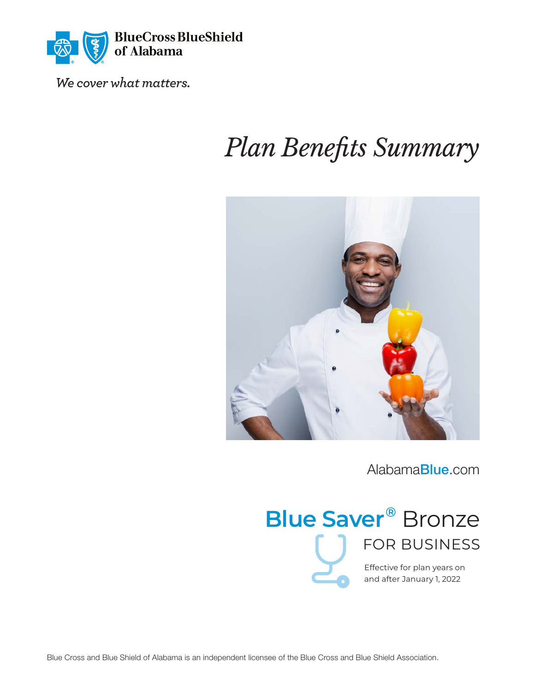

*We cover what matters.* 

# *Plan Benefits Summary*



[Alabama](http://AlabamaBlue.com)Blue.com



and after January 1, 2022

Blue Cross and Blue Shield of Alabama is an independent licensee of the Blue Cross and Blue Shield Association.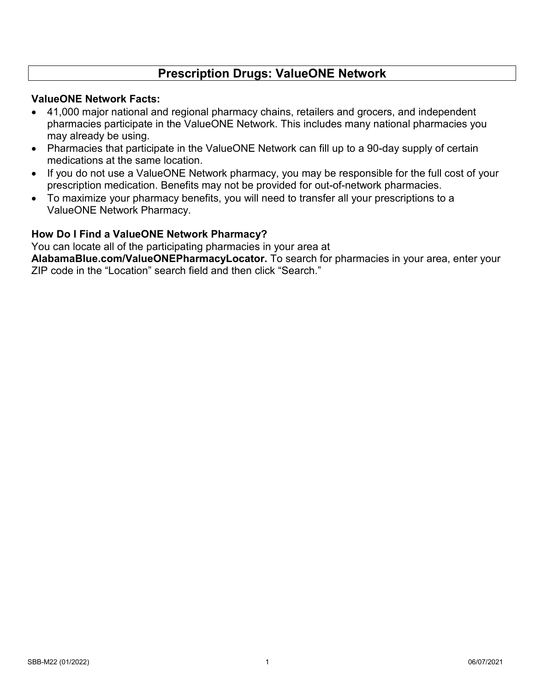## **Prescription Drugs: ValueONE Network**

### **ValueONE Network Facts:**

- 41,000 major national and regional pharmacy chains, retailers and grocers, and independent pharmacies participate in the ValueONE Network. This includes many national pharmacies you may already be using.
- Pharmacies that participate in the ValueONE Network can fill up to a 90-day supply of certain medications at the same location.
- If you do not use a ValueONE Network pharmacy, you may be responsible for the full cost of your prescription medication. Benefits may not be provided for out-of-network pharmacies.
- To maximize your pharmacy benefits, you will need to transfer all your prescriptions to a ValueONE Network Pharmacy.

### **How Do I Find a ValueONE Network Pharmacy?**

You can locate all of the participating pharmacies in your area at

**[AlabamaBlue.com/ValueONEPharmacyLocator.](http://AlabamaBlue.com/ValueONEPharmacyLocator)** To search for pharmacies in your area, enter your ZIP code in the "Location" search field and then click "Search."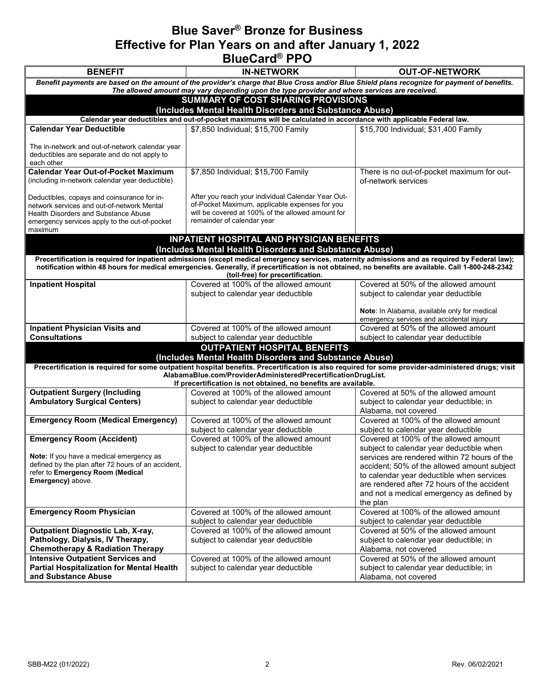## **Blue Saver® Bronze for Business Effective for Plan Years on and after January 1, 2022 BlueCard® PPO**

| <b>BENEFIT</b>                                                                                | <b>IN-NETWORK</b>                                                                                                                                                            | <b>OUT-OF-NETWORK</b>                                                                       |  |  |  |
|-----------------------------------------------------------------------------------------------|------------------------------------------------------------------------------------------------------------------------------------------------------------------------------|---------------------------------------------------------------------------------------------|--|--|--|
|                                                                                               | Benefit payments are based on the amount of the provider's charge that Blue Cross and/or Blue Shield plans recognize for payment of benefits.                                |                                                                                             |  |  |  |
| The allowed amount may vary depending upon the type provider and where services are received. |                                                                                                                                                                              |                                                                                             |  |  |  |
| SUMMARY OF COST SHARING PROVISIONS                                                            |                                                                                                                                                                              |                                                                                             |  |  |  |
|                                                                                               | (Includes Mental Health Disorders and Substance Abuse)<br>Calendar year deductibles and out-of-pocket maximums will be calculated in accordance with applicable Federal law. |                                                                                             |  |  |  |
| <b>Calendar Year Deductible</b>                                                               | \$7,850 Individual; \$15,700 Family                                                                                                                                          | \$15,700 Individual; \$31,400 Family                                                        |  |  |  |
|                                                                                               |                                                                                                                                                                              |                                                                                             |  |  |  |
| The in-network and out-of-network calendar year                                               |                                                                                                                                                                              |                                                                                             |  |  |  |
| deductibles are separate and do not apply to<br>each other                                    |                                                                                                                                                                              |                                                                                             |  |  |  |
| <b>Calendar Year Out-of-Pocket Maximum</b>                                                    | \$7,850 Individual; \$15,700 Family                                                                                                                                          | There is no out-of-pocket maximum for out-                                                  |  |  |  |
| (including in-network calendar year deductible)                                               |                                                                                                                                                                              | of-network services                                                                         |  |  |  |
|                                                                                               |                                                                                                                                                                              |                                                                                             |  |  |  |
| Deductibles, copays and coinsurance for in-<br>network services and out-of-network Mental     | After you reach your individual Calendar Year Out-<br>of-Pocket Maximum, applicable expenses for you                                                                         |                                                                                             |  |  |  |
| <b>Health Disorders and Substance Abuse</b>                                                   | will be covered at 100% of the allowed amount for                                                                                                                            |                                                                                             |  |  |  |
| emergency services apply to the out-of-pocket                                                 | remainder of calendar year                                                                                                                                                   |                                                                                             |  |  |  |
| maximum                                                                                       | <b>INPATIENT HOSPITAL AND PHYSICIAN BENEFITS</b>                                                                                                                             |                                                                                             |  |  |  |
|                                                                                               | (Includes Mental Health Disorders and Substance Abuse)                                                                                                                       |                                                                                             |  |  |  |
|                                                                                               | Precertification is required for inpatient admissions (except medical emergency services, maternity admissions and as required by Federal law);                              |                                                                                             |  |  |  |
|                                                                                               | notification within 48 hours for medical emergencies. Generally, if precertification is not obtained, no benefits are available. Call 1-800-248-2342                         |                                                                                             |  |  |  |
|                                                                                               | (toll-free) for precertification.                                                                                                                                            |                                                                                             |  |  |  |
| <b>Inpatient Hospital</b>                                                                     | Covered at 100% of the allowed amount<br>subject to calendar year deductible                                                                                                 | Covered at 50% of the allowed amount<br>subject to calendar year deductible                 |  |  |  |
|                                                                                               |                                                                                                                                                                              |                                                                                             |  |  |  |
|                                                                                               |                                                                                                                                                                              | Note: In Alabama, available only for medical                                                |  |  |  |
|                                                                                               |                                                                                                                                                                              | emergency services and accidental injury                                                    |  |  |  |
| <b>Inpatient Physician Visits and</b><br><b>Consultations</b>                                 | Covered at 100% of the allowed amount                                                                                                                                        | Covered at 50% of the allowed amount                                                        |  |  |  |
|                                                                                               | subject to calendar year deductible<br><b>OUTPATIENT HOSPITAL BENEFITS</b>                                                                                                   | subject to calendar year deductible                                                         |  |  |  |
|                                                                                               | (Includes Mental Health Disorders and Substance Abuse)                                                                                                                       |                                                                                             |  |  |  |
|                                                                                               | Precertification is required for some outpatient hospital benefits. Precertification is also required for some provider-administered drugs; visit                            |                                                                                             |  |  |  |
|                                                                                               | AlabamaBlue.com/ProviderAdministeredPrecertificationDrugList.                                                                                                                |                                                                                             |  |  |  |
| <b>Outpatient Surgery (Including</b>                                                          | If precertification is not obtained, no benefits are available.<br>Covered at 100% of the allowed amount                                                                     | Covered at 50% of the allowed amount                                                        |  |  |  |
| <b>Ambulatory Surgical Centers)</b>                                                           | subject to calendar year deductible                                                                                                                                          | subject to calendar year deductible; in                                                     |  |  |  |
|                                                                                               |                                                                                                                                                                              | Alabama, not covered                                                                        |  |  |  |
| <b>Emergency Room (Medical Emergency)</b>                                                     | Covered at 100% of the allowed amount                                                                                                                                        | Covered at 100% of the allowed amount                                                       |  |  |  |
|                                                                                               | subject to calendar year deductible                                                                                                                                          | subject to calendar year deductible                                                         |  |  |  |
| <b>Emergency Room (Accident)</b>                                                              | Covered at 100% of the allowed amount                                                                                                                                        | Covered at 100% of the allowed amount                                                       |  |  |  |
| Note: If you have a medical emergency as                                                      | subject to calendar year deductible                                                                                                                                          | subject to calendar year deductible when                                                    |  |  |  |
| defined by the plan after 72 hours of an accident,                                            |                                                                                                                                                                              | services are rendered within 72 hours of the<br>accident; 50% of the allowed amount subject |  |  |  |
| refer to Emergency Room (Medical                                                              |                                                                                                                                                                              | to calendar year deductible when services                                                   |  |  |  |
| Emergency) above.                                                                             |                                                                                                                                                                              | are rendered after 72 hours of the accident                                                 |  |  |  |
|                                                                                               |                                                                                                                                                                              | and not a medical emergency as defined by                                                   |  |  |  |
|                                                                                               |                                                                                                                                                                              | the plan                                                                                    |  |  |  |
| <b>Emergency Room Physician</b>                                                               | Covered at 100% of the allowed amount                                                                                                                                        | Covered at 100% of the allowed amount                                                       |  |  |  |
| <b>Outpatient Diagnostic Lab, X-ray,</b>                                                      | subject to calendar year deductible<br>Covered at 100% of the allowed amount                                                                                                 | subject to calendar year deductible<br>Covered at 50% of the allowed amount                 |  |  |  |
| Pathology, Dialysis, IV Therapy,                                                              | subject to calendar year deductible                                                                                                                                          | subject to calendar year deductible; in                                                     |  |  |  |
| <b>Chemotherapy &amp; Radiation Therapy</b>                                                   |                                                                                                                                                                              | Alabama, not covered                                                                        |  |  |  |
| <b>Intensive Outpatient Services and</b>                                                      | Covered at 100% of the allowed amount                                                                                                                                        | Covered at 50% of the allowed amount                                                        |  |  |  |
| <b>Partial Hospitalization for Mental Health</b>                                              | subject to calendar year deductible                                                                                                                                          | subject to calendar year deductible; in                                                     |  |  |  |
| and Substance Abuse                                                                           |                                                                                                                                                                              | Alabama, not covered                                                                        |  |  |  |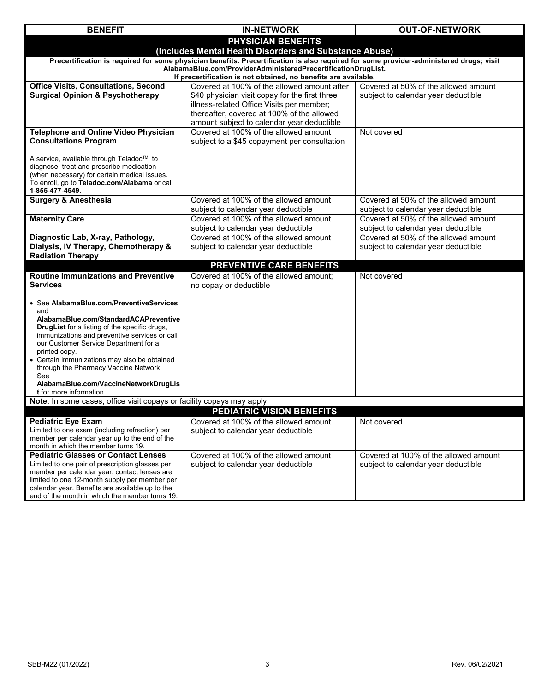| <b>BENEFIT</b>                                                                                                                          | <b>IN-NETWORK</b>                                                            | <b>OUT-OF-NETWORK</b>                                                       |  |  |  |
|-----------------------------------------------------------------------------------------------------------------------------------------|------------------------------------------------------------------------------|-----------------------------------------------------------------------------|--|--|--|
|                                                                                                                                         | <b>PHYSICIAN BENEFITS</b>                                                    |                                                                             |  |  |  |
| (Includes Mental Health Disorders and Substance Abuse)                                                                                  |                                                                              |                                                                             |  |  |  |
| Precertification is required for some physician benefits. Precertification is also required for some provider-administered drugs; visit |                                                                              |                                                                             |  |  |  |
| AlabamaBlue.com/ProviderAdministeredPrecertificationDrugList.<br>If precertification is not obtained, no benefits are available.        |                                                                              |                                                                             |  |  |  |
| <b>Office Visits, Consultations, Second</b>                                                                                             | Covered at 100% of the allowed amount after                                  | Covered at 50% of the allowed amount                                        |  |  |  |
| <b>Surgical Opinion &amp; Psychotherapy</b>                                                                                             | \$40 physician visit copay for the first three                               | subject to calendar year deductible                                         |  |  |  |
|                                                                                                                                         | illness-related Office Visits per member;                                    |                                                                             |  |  |  |
|                                                                                                                                         | thereafter, covered at 100% of the allowed                                   |                                                                             |  |  |  |
|                                                                                                                                         | amount subject to calendar year deductible                                   |                                                                             |  |  |  |
| <b>Telephone and Online Video Physician</b>                                                                                             | Covered at 100% of the allowed amount                                        | Not covered                                                                 |  |  |  |
| <b>Consultations Program</b>                                                                                                            | subject to a \$45 copayment per consultation                                 |                                                                             |  |  |  |
|                                                                                                                                         |                                                                              |                                                                             |  |  |  |
| A service, available through Teladoc™, to<br>diagnose, treat and prescribe medication                                                   |                                                                              |                                                                             |  |  |  |
| (when necessary) for certain medical issues.                                                                                            |                                                                              |                                                                             |  |  |  |
| To enroll, go to Teladoc.com/Alabama or call                                                                                            |                                                                              |                                                                             |  |  |  |
| 1-855-477-4549.                                                                                                                         |                                                                              |                                                                             |  |  |  |
| <b>Surgery &amp; Anesthesia</b>                                                                                                         | Covered at 100% of the allowed amount                                        | Covered at 50% of the allowed amount                                        |  |  |  |
| <b>Maternity Care</b>                                                                                                                   | subject to calendar year deductible<br>Covered at 100% of the allowed amount | subject to calendar year deductible<br>Covered at 50% of the allowed amount |  |  |  |
|                                                                                                                                         | subject to calendar year deductible                                          | subject to calendar year deductible                                         |  |  |  |
| Diagnostic Lab, X-ray, Pathology,                                                                                                       | Covered at 100% of the allowed amount                                        | Covered at 50% of the allowed amount                                        |  |  |  |
| Dialysis, IV Therapy, Chemotherapy &                                                                                                    | subject to calendar year deductible                                          | subject to calendar year deductible                                         |  |  |  |
| <b>Radiation Therapy</b>                                                                                                                |                                                                              |                                                                             |  |  |  |
|                                                                                                                                         | PREVENTIVE CARE BENEFITS                                                     |                                                                             |  |  |  |
| <b>Routine Immunizations and Preventive</b>                                                                                             | Covered at 100% of the allowed amount;                                       | Not covered                                                                 |  |  |  |
| <b>Services</b>                                                                                                                         | no copay or deductible                                                       |                                                                             |  |  |  |
|                                                                                                                                         |                                                                              |                                                                             |  |  |  |
| • See AlabamaBlue.com/PreventiveServices<br>and                                                                                         |                                                                              |                                                                             |  |  |  |
| AlabamaBlue.com/StandardACAPreventive                                                                                                   |                                                                              |                                                                             |  |  |  |
| <b>DrugList</b> for a listing of the specific drugs,                                                                                    |                                                                              |                                                                             |  |  |  |
| immunizations and preventive services or call                                                                                           |                                                                              |                                                                             |  |  |  |
| our Customer Service Department for a<br>printed copy.                                                                                  |                                                                              |                                                                             |  |  |  |
| • Certain immunizations may also be obtained                                                                                            |                                                                              |                                                                             |  |  |  |
| through the Pharmacy Vaccine Network.                                                                                                   |                                                                              |                                                                             |  |  |  |
| See                                                                                                                                     |                                                                              |                                                                             |  |  |  |
| AlabamaBlue.com/VaccineNetworkDrugLis<br><b>t</b> for more information.                                                                 |                                                                              |                                                                             |  |  |  |
| Note: In some cases, office visit copays or facility copays may apply                                                                   |                                                                              |                                                                             |  |  |  |
|                                                                                                                                         | <b>PEDIATRIC VISION BENEFITS</b>                                             |                                                                             |  |  |  |
| <b>Pediatric Eye Exam</b>                                                                                                               | Covered at 100% of the allowed amount                                        | Not covered                                                                 |  |  |  |
| Limited to one exam (including refraction) per                                                                                          | subject to calendar year deductible                                          |                                                                             |  |  |  |
| member per calendar year up to the end of the                                                                                           |                                                                              |                                                                             |  |  |  |
| month in which the member turns 19.<br><b>Pediatric Glasses or Contact Lenses</b>                                                       | Covered at 100% of the allowed amount                                        | Covered at 100% of the allowed amount                                       |  |  |  |
| Limited to one pair of prescription glasses per                                                                                         | subject to calendar year deductible                                          | subject to calendar year deductible                                         |  |  |  |
| member per calendar year; contact lenses are                                                                                            |                                                                              |                                                                             |  |  |  |
| limited to one 12-month supply per member per                                                                                           |                                                                              |                                                                             |  |  |  |
| calendar year. Benefits are available up to the                                                                                         |                                                                              |                                                                             |  |  |  |
| end of the month in which the member turns 19.                                                                                          |                                                                              |                                                                             |  |  |  |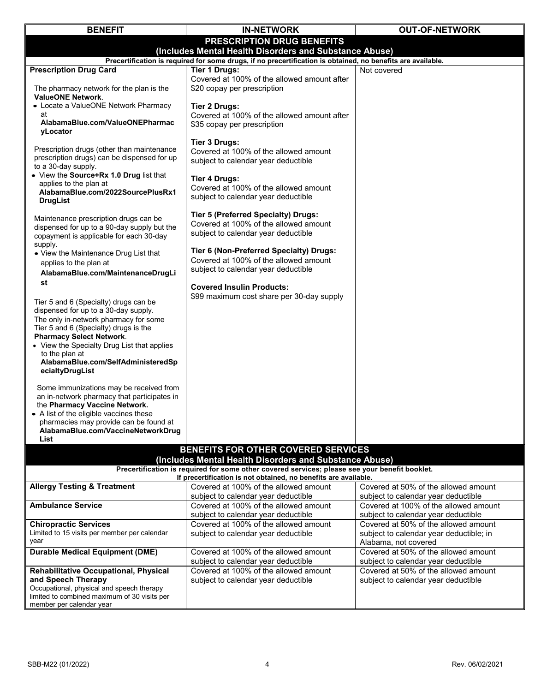| <b>BENEFIT</b>                                                                                                                                                                                                                                                                                                               | <b>IN-NETWORK</b>                                                                                                       | <b>OUT-OF-NETWORK</b>                                                        |  |  |  |
|------------------------------------------------------------------------------------------------------------------------------------------------------------------------------------------------------------------------------------------------------------------------------------------------------------------------------|-------------------------------------------------------------------------------------------------------------------------|------------------------------------------------------------------------------|--|--|--|
|                                                                                                                                                                                                                                                                                                                              | PRESCRIPTION DRUG BENEFITS                                                                                              |                                                                              |  |  |  |
| (Includes Mental Health Disorders and Substance Abuse)                                                                                                                                                                                                                                                                       |                                                                                                                         |                                                                              |  |  |  |
|                                                                                                                                                                                                                                                                                                                              | Precertification is required for some drugs, if no precertification is obtained, no benefits are available.             |                                                                              |  |  |  |
| <b>Prescription Drug Card</b>                                                                                                                                                                                                                                                                                                | <b>Tier 1 Drugs:</b>                                                                                                    | Not covered                                                                  |  |  |  |
| The pharmacy network for the plan is the<br><b>ValueONE Network.</b>                                                                                                                                                                                                                                                         | Covered at 100% of the allowed amount after<br>\$20 copay per prescription                                              |                                                                              |  |  |  |
| • Locate a ValueONE Network Pharmacy                                                                                                                                                                                                                                                                                         | <b>Tier 2 Drugs:</b>                                                                                                    |                                                                              |  |  |  |
| at<br>AlabamaBlue.com/ValueONEPharmac<br>vLocator                                                                                                                                                                                                                                                                            | Covered at 100% of the allowed amount after<br>\$35 copay per prescription                                              |                                                                              |  |  |  |
| Prescription drugs (other than maintenance<br>prescription drugs) can be dispensed for up<br>to a 30-day supply.                                                                                                                                                                                                             | Tier 3 Drugs:<br>Covered at 100% of the allowed amount<br>subject to calendar year deductible                           |                                                                              |  |  |  |
| • View the Source+Rx 1.0 Drug list that<br>applies to the plan at<br>AlabamaBlue.com/2022SourcePlusRx1<br><b>DrugList</b>                                                                                                                                                                                                    | <b>Tier 4 Drugs:</b><br>Covered at 100% of the allowed amount<br>subject to calendar year deductible                    |                                                                              |  |  |  |
| Maintenance prescription drugs can be<br>dispensed for up to a 90-day supply but the<br>copayment is applicable for each 30-day<br>supply.                                                                                                                                                                                   | Tier 5 (Preferred Specialty) Drugs:<br>Covered at 100% of the allowed amount<br>subject to calendar year deductible     |                                                                              |  |  |  |
| • View the Maintenance Drug List that<br>applies to the plan at<br>AlabamaBlue.com/MaintenanceDrugLi                                                                                                                                                                                                                         | Tier 6 (Non-Preferred Specialty) Drugs:<br>Covered at 100% of the allowed amount<br>subject to calendar year deductible |                                                                              |  |  |  |
| st                                                                                                                                                                                                                                                                                                                           | <b>Covered Insulin Products:</b>                                                                                        |                                                                              |  |  |  |
| Tier 5 and 6 (Specialty) drugs can be<br>dispensed for up to a 30-day supply.<br>The only in-network pharmacy for some<br>Tier 5 and 6 (Specialty) drugs is the<br><b>Pharmacy Select Network.</b><br>• View the Specialty Drug List that applies<br>to the plan at<br>AlabamaBlue.com/SelfAdministeredSp<br>ecialtyDrugList | \$99 maximum cost share per 30-day supply                                                                               |                                                                              |  |  |  |
| Some immunizations may be received from<br>an in-network pharmacy that participates in<br>the Pharmacy Vaccine Network.<br>• A list of the eligible vaccines these<br>pharmacies may provide can be found at<br>AlabamaBlue.com/VaccineNetworkDrug<br>List                                                                   |                                                                                                                         |                                                                              |  |  |  |
|                                                                                                                                                                                                                                                                                                                              | BENEFITS FOR OTHER COVERED SERVICES                                                                                     |                                                                              |  |  |  |
|                                                                                                                                                                                                                                                                                                                              | (Includes Mental Health Disorders and Substance Abuse)                                                                  |                                                                              |  |  |  |
| Precertification is required for some other covered services; please see your benefit booklet.<br>If precertification is not obtained, no benefits are available.                                                                                                                                                            |                                                                                                                         |                                                                              |  |  |  |
| <b>Allergy Testing &amp; Treatment</b>                                                                                                                                                                                                                                                                                       | Covered at 100% of the allowed amount<br>subject to calendar year deductible                                            | Covered at 50% of the allowed amount<br>subject to calendar year deductible  |  |  |  |
| <b>Ambulance Service</b>                                                                                                                                                                                                                                                                                                     | Covered at 100% of the allowed amount<br>subject to calendar year deductible                                            | Covered at 100% of the allowed amount<br>subject to calendar year deductible |  |  |  |
| <b>Chiropractic Services</b>                                                                                                                                                                                                                                                                                                 | Covered at 100% of the allowed amount                                                                                   | Covered at 50% of the allowed amount                                         |  |  |  |
| Limited to 15 visits per member per calendar<br>year                                                                                                                                                                                                                                                                         | subject to calendar year deductible                                                                                     | subject to calendar year deductible; in<br>Alabama, not covered              |  |  |  |
| <b>Durable Medical Equipment (DME)</b>                                                                                                                                                                                                                                                                                       | Covered at 100% of the allowed amount<br>subject to calendar year deductible                                            | Covered at 50% of the allowed amount<br>subject to calendar year deductible  |  |  |  |
| Rehabilitative Occupational, Physical<br>and Speech Therapy<br>Occupational, physical and speech therapy<br>limited to combined maximum of 30 visits per<br>member per calendar year                                                                                                                                         | Covered at 100% of the allowed amount<br>subject to calendar year deductible                                            | Covered at 50% of the allowed amount<br>subject to calendar year deductible  |  |  |  |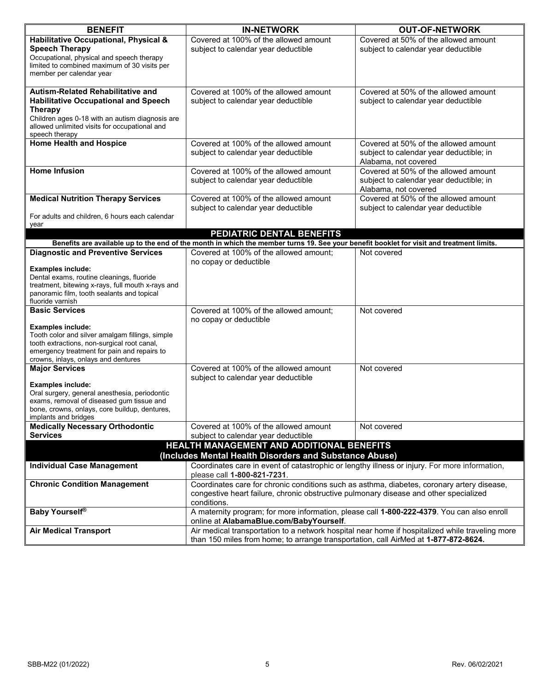| <b>BENEFIT</b>                                                                                                                           | <b>IN-NETWORK</b>                                                                                                                     | <b>OUT-OF-NETWORK</b>                   |  |  |
|------------------------------------------------------------------------------------------------------------------------------------------|---------------------------------------------------------------------------------------------------------------------------------------|-----------------------------------------|--|--|
| Habilitative Occupational, Physical &                                                                                                    | Covered at 100% of the allowed amount                                                                                                 | Covered at 50% of the allowed amount    |  |  |
| <b>Speech Therapy</b>                                                                                                                    | subject to calendar year deductible                                                                                                   | subject to calendar year deductible     |  |  |
| Occupational, physical and speech therapy<br>limited to combined maximum of 30 visits per                                                |                                                                                                                                       |                                         |  |  |
| member per calendar year                                                                                                                 |                                                                                                                                       |                                         |  |  |
|                                                                                                                                          |                                                                                                                                       |                                         |  |  |
| Autism-Related Rehabilitative and                                                                                                        | Covered at 100% of the allowed amount                                                                                                 | Covered at 50% of the allowed amount    |  |  |
| <b>Habilitative Occupational and Speech</b>                                                                                              | subject to calendar year deductible                                                                                                   | subject to calendar year deductible     |  |  |
| <b>Therapy</b>                                                                                                                           |                                                                                                                                       |                                         |  |  |
| Children ages 0-18 with an autism diagnosis are<br>allowed unlimited visits for occupational and                                         |                                                                                                                                       |                                         |  |  |
| speech therapy                                                                                                                           |                                                                                                                                       |                                         |  |  |
| <b>Home Health and Hospice</b>                                                                                                           | Covered at 100% of the allowed amount                                                                                                 | Covered at 50% of the allowed amount    |  |  |
|                                                                                                                                          | subject to calendar year deductible                                                                                                   | subject to calendar year deductible; in |  |  |
|                                                                                                                                          |                                                                                                                                       | Alabama, not covered                    |  |  |
| <b>Home Infusion</b>                                                                                                                     | Covered at 100% of the allowed amount                                                                                                 | Covered at 50% of the allowed amount    |  |  |
|                                                                                                                                          | subject to calendar year deductible                                                                                                   | subject to calendar year deductible; in |  |  |
|                                                                                                                                          |                                                                                                                                       | Alabama, not covered                    |  |  |
| <b>Medical Nutrition Therapy Services</b>                                                                                                | Covered at 100% of the allowed amount                                                                                                 | Covered at 50% of the allowed amount    |  |  |
| For adults and children, 6 hours each calendar                                                                                           | subject to calendar year deductible                                                                                                   | subject to calendar year deductible     |  |  |
| year                                                                                                                                     |                                                                                                                                       |                                         |  |  |
|                                                                                                                                          | PEDIATRIC DENTAL BENEFITS                                                                                                             |                                         |  |  |
| Benefits are available up to the end of the month in which the member turns 19. See your benefit booklet for visit and treatment limits. |                                                                                                                                       |                                         |  |  |
| <b>Diagnostic and Preventive Services</b>                                                                                                | Covered at 100% of the allowed amount;<br>no copay or deductible                                                                      | Not covered                             |  |  |
| <b>Examples include:</b>                                                                                                                 |                                                                                                                                       |                                         |  |  |
| Dental exams, routine cleanings, fluoride                                                                                                |                                                                                                                                       |                                         |  |  |
| treatment, bitewing x-rays, full mouth x-rays and<br>panoramic film, tooth sealants and topical                                          |                                                                                                                                       |                                         |  |  |
| fluoride varnish                                                                                                                         |                                                                                                                                       |                                         |  |  |
| <b>Basic Services</b>                                                                                                                    | Covered at 100% of the allowed amount;<br>no copay or deductible                                                                      | Not covered                             |  |  |
| <b>Examples include:</b>                                                                                                                 |                                                                                                                                       |                                         |  |  |
| Tooth color and silver amalgam fillings, simple                                                                                          |                                                                                                                                       |                                         |  |  |
| tooth extractions, non-surgical root canal,                                                                                              |                                                                                                                                       |                                         |  |  |
| emergency treatment for pain and repairs to<br>crowns, inlays, onlays and dentures                                                       |                                                                                                                                       |                                         |  |  |
| <b>Major Services</b>                                                                                                                    | Covered at 100% of the allowed amount                                                                                                 | Not covered                             |  |  |
|                                                                                                                                          | subject to calendar year deductible                                                                                                   |                                         |  |  |
| <b>Examples include:</b>                                                                                                                 |                                                                                                                                       |                                         |  |  |
| Oral surgery, general anesthesia, periodontic<br>exams, removal of diseased gum tissue and                                               |                                                                                                                                       |                                         |  |  |
| bone, crowns, onlays, core buildup, dentures,                                                                                            |                                                                                                                                       |                                         |  |  |
| implants and bridges                                                                                                                     |                                                                                                                                       |                                         |  |  |
| <b>Medically Necessary Orthodontic</b>                                                                                                   | Covered at 100% of the allowed amount                                                                                                 | Not covered                             |  |  |
| <b>Services</b>                                                                                                                          | subject to calendar year deductible                                                                                                   |                                         |  |  |
| HEALTH MANAGEMENT AND ADDITIONAL BENEFITS<br>(Includes Mental Health Disorders and Substance Abuse)                                      |                                                                                                                                       |                                         |  |  |
| <b>Individual Case Management</b>                                                                                                        | Coordinates care in event of catastrophic or lengthy illness or injury. For more information,                                         |                                         |  |  |
|                                                                                                                                          | please call 1-800-821-7231.                                                                                                           |                                         |  |  |
| <b>Chronic Condition Management</b>                                                                                                      | Coordinates care for chronic conditions such as asthma, diabetes, coronary artery disease,                                            |                                         |  |  |
|                                                                                                                                          | congestive heart failure, chronic obstructive pulmonary disease and other specialized<br>conditions.                                  |                                         |  |  |
| <b>Baby Yourself®</b>                                                                                                                    | A maternity program; for more information, please call 1-800-222-4379. You can also enroll<br>online at AlabamaBlue.com/BabyYourself. |                                         |  |  |
| <b>Air Medical Transport</b>                                                                                                             | Air medical transportation to a network hospital near home if hospitalized while traveling more                                       |                                         |  |  |
|                                                                                                                                          | than 150 miles from home; to arrange transportation, call AirMed at 1-877-872-8624.                                                   |                                         |  |  |